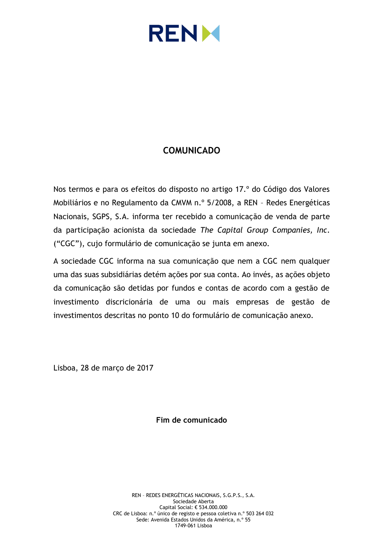

## **COMUNICADO**

Nos termos e para os efeitos do disposto no artigo 17.º do Código dos Valores Mobiliários e no Regulamento da CMVM n.º 5/2008, a REN – Redes Energéticas Nacionais, SGPS, S.A. informa ter recebido a comunicação de venda de parte da participação acionista da sociedade *The Capital Group Companies, Inc*. ("CGC"), cujo formulário de comunicação se junta em anexo.

A sociedade CGC informa na sua comunicação que nem a CGC nem qualquer uma das suas subsidiárias detém ações por sua conta. Ao invés, as ações objeto da comunicação são detidas por fundos e contas de acordo com a gestão de investimento discricionária de uma ou mais empresas de gestão de investimentos descritas no ponto 10 do formulário de comunicação anexo.

Lisboa, 28 de março de 2017

**Fim de comunicado**

REN – REDES ENERGÉTICAS NACIONAIS, S.G.P.S., S.A. Sociedade Aberta Capital Social: € 534.000.000 CRC de Lisboa: n.º único de registo e pessoa coletiva n.º 503 264 032 Sede: Avenida Estados Unidos da América, n.º 55 1749-061 Lisboa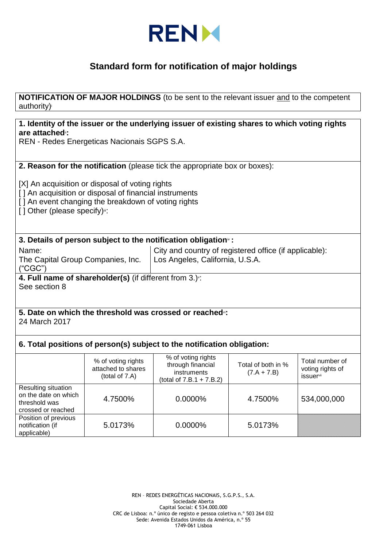

# **Standard form for notification of major holdings**

**NOTIFICATION OF MAJOR HOLDINGS** (to be sent to the relevant issuer and to the competent authority)<sup>i</sup>

## **1. Identity of the issuer or the underlying issuer of existing shares to which voting rights are attached**ii**:** REN - Redes Energeticas Nacionais SGPS S.A. **2. Reason for the notification** (please tick the appropriate box or boxes): [X] An acquisition or disposal of voting rights [] An acquisition or disposal of financial instruments [] An event changing the breakdown of voting rights [] Other (please specify)<sup>11</sup>: **3. Details of person subject to the notification obligation<sup>®</sup>:** Name: The Capital Group Companies, Inc. ("CGC") City and country of registered office (if applicable): Los Angeles, California, U.S.A. **4. Full name of shareholder(s)** (if different from 3.)<sup>v</sup> : See section 8 **5. Date on which the threshold was crossed or reached**vi**:** 24 March 2017 **6. Total positions of person(s) subject to the notification obligation:** % of voting rights  $\sim$   $\sim$   $\sim$   $\sim$   $\sim$   $\sim$ Total number of

|                                                                                    | % of voting rights<br>attached to shares<br>(total of 7.A) | % of voting rights<br>through financial<br>instruments<br>(total of $7.B.1 + 7.B.2$ ) | Total of both in %<br>$(7.A + 7.B)$ | Total number of<br>voting rights of<br><i>issuer</i> <sup>vii</sup> |
|------------------------------------------------------------------------------------|------------------------------------------------------------|---------------------------------------------------------------------------------------|-------------------------------------|---------------------------------------------------------------------|
| Resulting situation<br>on the date on which<br>threshold was<br>crossed or reached | 4.7500%                                                    | $0.0000\%$                                                                            | 4.7500%                             | 534,000,000                                                         |
| Position of previous<br>notification (if<br>applicable)                            | 5.0173%                                                    | 0.0000%                                                                               | 5.0173%                             |                                                                     |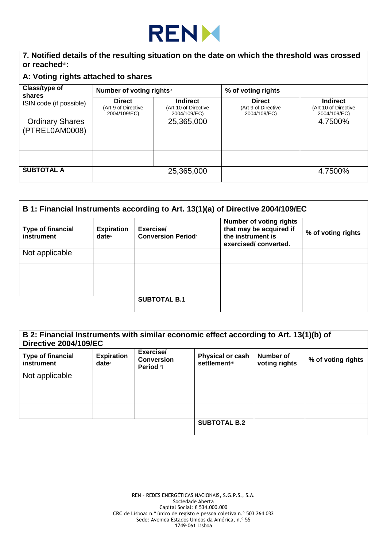

### **7. Notified details of the resulting situation on the date on which the threshold was crossed or reached**vii:

### **A: Voting rights attached to shares**

| . <u>.</u> <u>.</u>                                |                                                      |                                                         |                                                      |                                                         |  |
|----------------------------------------------------|------------------------------------------------------|---------------------------------------------------------|------------------------------------------------------|---------------------------------------------------------|--|
| Class/type of<br>shares<br>ISIN code (if possible) | Number of voting rightsix                            |                                                         | % of voting rights                                   |                                                         |  |
|                                                    | <b>Direct</b><br>(Art 9 of Directive<br>2004/109/EC) | <b>Indirect</b><br>(Art 10 of Directive<br>2004/109/EC) | <b>Direct</b><br>(Art 9 of Directive<br>2004/109/EC) | <b>Indirect</b><br>(Art 10 of Directive<br>2004/109/EC) |  |
| <b>Ordinary Shares</b><br>(PTREL0AM0008)           |                                                      | 25,365,000                                              |                                                      | 4.7500%                                                 |  |
|                                                    |                                                      |                                                         |                                                      |                                                         |  |
|                                                    |                                                      |                                                         |                                                      |                                                         |  |
| <b>SUBTOTAL A</b>                                  |                                                      | 25,365,000                                              |                                                      | 4.7500%                                                 |  |

| B 1: Financial Instruments according to Art. 13(1)(a) of Directive 2004/109/EC |                               |                                         |                                                                                                        |                    |
|--------------------------------------------------------------------------------|-------------------------------|-----------------------------------------|--------------------------------------------------------------------------------------------------------|--------------------|
| <b>Type of financial</b><br>instrument                                         | <b>Expiration</b><br>$date^x$ | Exercise/<br><b>Conversion Periodxi</b> | <b>Number of voting rights</b><br>that may be acquired if<br>the instrument is<br>exercised/converted. | % of voting rights |
| Not applicable                                                                 |                               |                                         |                                                                                                        |                    |
|                                                                                |                               |                                         |                                                                                                        |                    |
|                                                                                |                               |                                         |                                                                                                        |                    |
|                                                                                |                               | <b>SUBTOTAL B.1</b>                     |                                                                                                        |                    |

| B 2: Financial Instruments with similar economic effect according to Art. 13(1)(b) of<br><b>Directive 2004/109/EC</b> |                                        |                                             |                                                  |                            |                    |
|-----------------------------------------------------------------------------------------------------------------------|----------------------------------------|---------------------------------------------|--------------------------------------------------|----------------------------|--------------------|
| <b>Type of financial</b><br>instrument                                                                                | <b>Expiration</b><br>date <sup>x</sup> | Exercise/<br><b>Conversion</b><br>Period *i | <b>Physical or cash</b><br><b>settlement</b> xii | Number of<br>voting rights | % of voting rights |
| Not applicable                                                                                                        |                                        |                                             |                                                  |                            |                    |
|                                                                                                                       |                                        |                                             |                                                  |                            |                    |
|                                                                                                                       |                                        |                                             |                                                  |                            |                    |
|                                                                                                                       |                                        |                                             | <b>SUBTOTAL B.2</b>                              |                            |                    |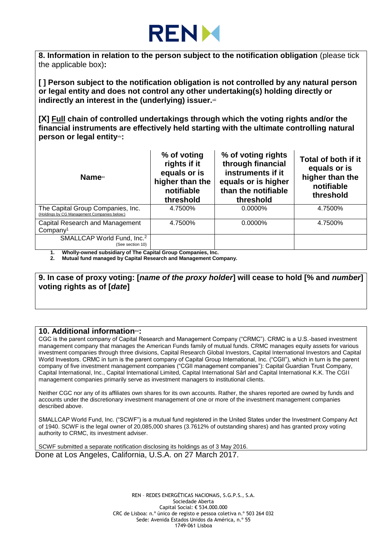

**8. Information in relation to the person subject to the notification obligation** (please tick the applicable box)**:**

**[ ] Person subject to the notification obligation is not controlled by any natural person or legal entity and does not control any other undertaking(s) holding directly or indirectly an interest in the (underlying) issuer.**xiin

**[X] Full chain of controlled undertakings through which the voting rights and/or the financial instruments are effectively held starting with the ultimate controlling natural person or legal entity**xiv**:**

| <b>Name</b> <sup>w</sup>                                                          | % of voting<br>rights if it<br>equals or is<br>higher than the<br>notifiable<br>threshold | % of voting rights<br>through financial<br>instruments if it<br>equals or is higher<br>than the notifiable<br>threshold | Total of both if it<br>equals or is<br>higher than the<br>notifiable<br>threshold |
|-----------------------------------------------------------------------------------|-------------------------------------------------------------------------------------------|-------------------------------------------------------------------------------------------------------------------------|-----------------------------------------------------------------------------------|
| The Capital Group Companies, Inc.<br>(Holdings by CG Management Companies below:) | 4.7500%                                                                                   | $0.0000\%$                                                                                                              | 4.7500%                                                                           |
| Capital Research and Management<br>Company <sup>1</sup>                           | 4.7500%                                                                                   | $0.0000\%$                                                                                                              | 4.7500%                                                                           |
| SMALLCAP World Fund, Inc. <sup>2</sup><br>(See section 10)                        |                                                                                           |                                                                                                                         |                                                                                   |

**1. Wholly-owned subsidiary of The Capital Group Companies, Inc.**

**2. Mutual fund managed by Capital Research and Management Company.**

**9. In case of proxy voting: [***name of the proxy holder***] will cease to hold [% and** *number***] voting rights as of [***date***]**

### **10. Additional information**xvi**:**

CGC is the parent company of Capital Research and Management Company ("CRMC"). CRMC is a U.S.-based investment management company that manages the American Funds family of mutual funds. CRMC manages equity assets for various investment companies through three divisions, Capital Research Global Investors, Capital International Investors and Capital World Investors. CRMC in turn is the parent company of Capital Group International, Inc. ("CGII"), which in turn is the parent company of five investment management companies ("CGII management companies"): Capital Guardian Trust Company, Capital International, Inc., Capital International Limited, Capital International Sàrl and Capital International K.K. The CGII management companies primarily serve as investment managers to institutional clients.

Neither CGC nor any of its affiliates own shares for its own accounts. Rather, the shares reported are owned by funds and accounts under the discretionary investment management of one or more of the investment management companies described above.

SMALLCAP World Fund, Inc. ("SCWF") is a mutual fund registered in the United States under the Investment Company Act of 1940. SCWF is the legal owner of 20,085,000 shares (3.7612% of outstanding shares) and has granted proxy voting authority to CRMC, its investment adviser.

SCWF submitted a separate notification disclosing its holdings as of 3 May 2016. Done at Los Angeles, California, U.S.A. on 27 March 2017.

> REN – REDES ENERGÉTICAS NACIONAIS, S.G.P.S., S.A. Sociedade Aberta Capital Social: € 534.000.000 CRC de Lisboa: n.º único de registo e pessoa coletiva n.º 503 264 032 Sede: Avenida Estados Unidos da América, n.º 55 1749-061 Lisboa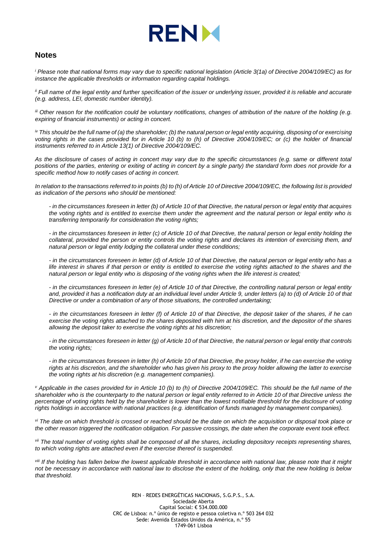

#### **Notes**

*<sup>i</sup> Please note that national forms may vary due to specific national legislation (Article 3(1a) of Directive 2004/109/EC) as for instance the applicable thresholds or information regarding capital holdings.*

*ii* Full name of the legal entity and further specification of the issuer or underlying issuer, provided it is reliable and accurate *(e.g. address, LEI, domestic number identity).*

*iii Other reason for the notification could be voluntary notifications, changes of attribution of the nature of the holding (e.g. expiring of financial instruments) or acting in concert.*

*iv This should be the full name of (a) the shareholder; (b) the natural person or legal entity acquiring, disposing of or exercising voting rights in the cases provided for in Article 10 (b) to (h) of Directive 2004/109/EC; or (c) the holder of financial instruments referred to in Article 13(1) of Directive 2004/109/EC.*

*As the disclosure of cases of acting in concert may vary due to the specific circumstances (e.g. same or different total positions of the parties, entering or exiting of acting in concert by a single party) the standard form does not provide for a specific method how to notify cases of acting in concert.*

*In relation to the transactions referred to in points (b) to (h) of Article 10 of Directive 2004/109/EC, the following list is provided as indication of the persons who should be mentioned:*

*- in the circumstances foreseen in letter (b) of Article 10 of that Directive, the natural person or legal entity that acquires the voting rights and is entitled to exercise them under the agreement and the natural person or legal entity who is transferring temporarily for consideration the voting rights;*

*- in the circumstances foreseen in letter (c) of Article 10 of that Directive, the natural person or legal entity holding the collateral, provided the person or entity controls the voting rights and declares its intention of exercising them, and natural person or legal entity lodging the collateral under these conditions;*

*- in the circumstances foreseen in letter (d) of Article 10 of that Directive, the natural person or legal entity who has a life interest in shares if that person or entity is entitled to exercise the voting rights attached to the shares and the natural person or legal entity who is disposing of the voting rights when the life interest is created;*

*- in the circumstances foreseen in letter (e) of Article 10 of that Directive, the controlling natural person or legal entity and, provided it has a notification duty at an individual level under Article 9, under letters (a) to (d) of Article 10 of that Directive or under a combination of any of those situations, the controlled undertaking;*

*- in the circumstances foreseen in letter (f) of Article 10 of that Directive, the deposit taker of the shares, if he can exercise the voting rights attached to the shares deposited with him at his discretion, and the depositor of the shares allowing the deposit taker to exercise the voting rights at his discretion;*

*- in the circumstances foreseen in letter (g) of Article 10 of that Directive, the natural person or legal entity that controls the voting rights;*

*- in the circumstances foreseen in letter (h) of Article 10 of that Directive, the proxy holder, if he can exercise the voting rights at his discretion, and the shareholder who has given his proxy to the proxy holder allowing the latter to exercise the voting rights at his discretion (e.g. management companies).*

*<sup>v</sup> Applicable in the cases provided for in Article 10 (b) to (h) of Directive 2004/109/EC. This should be the full name of the shareholder who is the counterparty to the natural person or legal entity referred to in Article 10 of that Directive unless the percentage of voting rights held by the shareholder is lower than the lowest notifiable threshold for the disclosure of voting rights holdings in accordance with national practices (e.g. identification of funds managed by management companies).*

*vi The date on which threshold is crossed or reached should be the date on which the acquisition or disposal took place or the other reason triggered the notification obligation. For passive crossings, the date when the corporate event took effect.*

*vii The total number of voting rights shall be composed of all the shares, including depository receipts representing shares, to which voting rights are attached even if the exercise thereof is suspended.*

*viii If the holding has fallen below the lowest applicable threshold in accordance with national law, please note that it might not be necessary in accordance with national law to disclose the extent of the holding, only that the new holding is below that threshold.*

> REN – REDES ENERGÉTICAS NACIONAIS, S.G.P.S., S.A. Sociedade Aberta Capital Social: € 534.000.000 CRC de Lisboa: n.º único de registo e pessoa coletiva n.º 503 264 032 Sede: Avenida Estados Unidos da América, n.º 55 1749-061 Lisboa